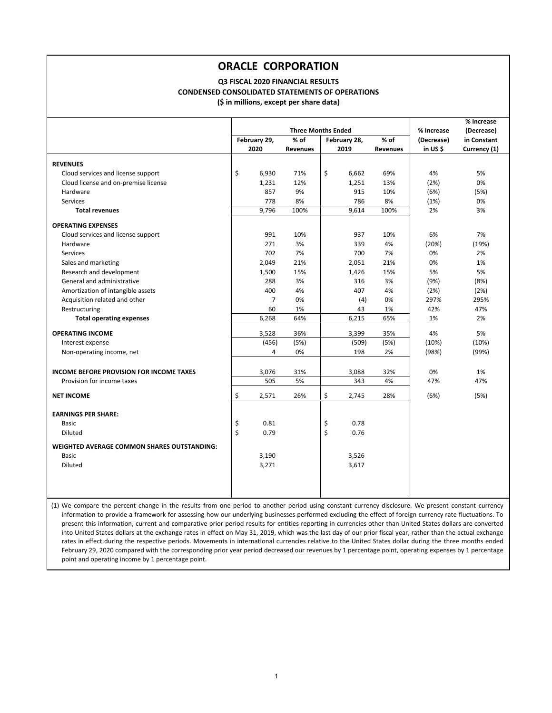#### **(\$ in millions, except per share data) Q3 FISCAL 2020 FINANCIAL RESULTS CONDENSED CONSOLIDATED STATEMENTS OF OPERATIONS**

|                                                 |              |                |                           |    | % Increase   |                 |            |              |
|-------------------------------------------------|--------------|----------------|---------------------------|----|--------------|-----------------|------------|--------------|
|                                                 |              |                | <b>Three Months Ended</b> |    |              |                 | % Increase | (Decrease)   |
|                                                 | February 29, |                | % of                      |    | February 28, | $%$ of          | (Decrease) | in Constant  |
|                                                 | 2020         |                | <b>Revenues</b>           |    | 2019         | <b>Revenues</b> | in US\$    | Currency (1) |
| <b>REVENUES</b>                                 |              |                |                           |    |              |                 |            |              |
| Cloud services and license support              | \$           | 6,930          | 71%                       | \$ | 6,662        | 69%             | 4%         | 5%           |
| Cloud license and on-premise license            |              | 1,231          | 12%                       |    | 1,251        | 13%             | (2%)       | 0%           |
| Hardware                                        |              | 857            | 9%                        |    | 915          | 10%             | (6%)       | (5%)         |
| Services                                        |              | 778            | 8%                        |    | 786          | 8%              | (1%)       | 0%           |
| <b>Total revenues</b>                           |              | 9,796          | 100%                      |    | 9,614        | 100%            | 2%         | 3%           |
| <b>OPERATING EXPENSES</b>                       |              |                |                           |    |              |                 |            |              |
| Cloud services and license support              |              | 991            | 10%                       |    | 937          | 10%             | 6%         | 7%           |
| Hardware                                        |              | 271            | 3%                        |    | 339          | 4%              | (20%)      | (19%)        |
| Services                                        |              | 702            | 7%                        |    | 700          | 7%              | 0%         | 2%           |
| Sales and marketing                             |              | 2,049          | 21%                       |    | 2,051        | 21%             | 0%         | 1%           |
| Research and development                        |              | 1,500          | 15%                       |    | 1,426        | 15%             | 5%         | 5%           |
| General and administrative                      |              | 288            | 3%                        |    | 316          | 3%              | (9%)       | (8%)         |
| Amortization of intangible assets               |              | 400            | 4%                        |    | 407          | 4%              | (2%)       | (2%)         |
| Acquisition related and other                   |              | $\overline{7}$ | 0%                        |    | (4)          | 0%              | 297%       | 295%         |
| Restructuring                                   |              | 60             | 1%                        |    | 43           | 1%              | 42%        | 47%          |
| <b>Total operating expenses</b>                 |              | 6,268          | 64%                       |    | 6,215        | 65%             | 1%         | 2%           |
| <b>OPERATING INCOME</b>                         |              | 3,528          | 36%                       |    | 3,399        | 35%             | 4%         | 5%           |
| Interest expense                                |              | (456)          | (5%)                      |    | (509)        | (5%)            | (10%)      | (10%)        |
| Non-operating income, net                       |              | 4              | 0%                        |    | 198          | 2%              | (98%)      | (99%)        |
|                                                 |              |                |                           |    |              |                 |            |              |
| <b>INCOME BEFORE PROVISION FOR INCOME TAXES</b> |              | 3,076          | 31%                       |    | 3,088        | 32%             | 0%         | 1%           |
| Provision for income taxes                      |              | 505            | 5%                        |    | 343          | 4%              | 47%        | 47%          |
| <b>NET INCOME</b>                               | \$           | 2,571          | 26%                       | Ś  | 2.745        | 28%             | (6%)       | (5%)         |
| <b>EARNINGS PER SHARE:</b>                      |              |                |                           |    |              |                 |            |              |
| <b>Basic</b>                                    | \$           | 0.81           |                           | \$ | 0.78         |                 |            |              |
| Diluted                                         | \$           | 0.79           |                           | \$ | 0.76         |                 |            |              |
|                                                 |              |                |                           |    |              |                 |            |              |
| WEIGHTED AVERAGE COMMON SHARES OUTSTANDING:     |              |                |                           |    |              |                 |            |              |
| <b>Basic</b>                                    |              | 3,190          |                           |    | 3,526        |                 |            |              |
| Diluted                                         |              | 3,271          |                           |    | 3,617        |                 |            |              |
|                                                 |              |                |                           |    |              |                 |            |              |
|                                                 |              |                |                           |    |              |                 |            |              |
|                                                 |              |                |                           |    |              |                 |            |              |

(1) We compare the percent change in the results from one period to another period using constant currency disclosure. We present constant currency information to provide a framework for assessing how our underlying businesses performed excluding the effect of foreign currency rate fluctuations. To present this information, current and comparative prior period results for entities reporting in currencies other than United States dollars are converted into United States dollars at the exchange rates in effect on May 31, 2019, which was the last day of our prior fiscal year, rather than the actual exchange rates in effect during the respective periods. Movements in international currencies relative to the United States dollar during the three months ended February 29, 2020 compared with the corresponding prior year period decreased our revenues by 1 percentage point, operating expenses by 1 percentage point and operating income by 1 percentage point.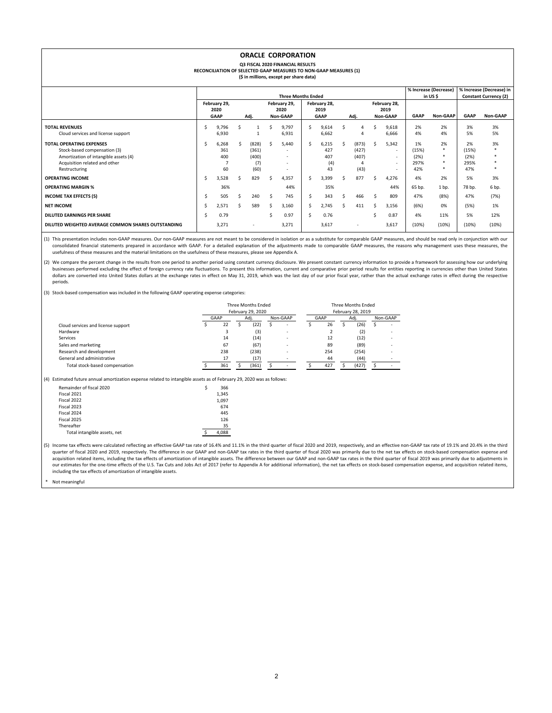|                                                                                                                                                            |    |                                             |     |                                        |    | <b>ORACLE CORPORATION</b><br><b>Q3 FISCAL 2020 FINANCIAL RESULTS</b><br>RECONCILIATION OF SELECTED GAAP MEASURES TO NON-GAAP MEASURES (1)<br>(\$ in millions, except per share data) |              |                                     |    |                                             |    |                                                                 |                                    |                                              |                                    |                                          |
|------------------------------------------------------------------------------------------------------------------------------------------------------------|----|---------------------------------------------|-----|----------------------------------------|----|--------------------------------------------------------------------------------------------------------------------------------------------------------------------------------------|--------------|-------------------------------------|----|---------------------------------------------|----|-----------------------------------------------------------------|------------------------------------|----------------------------------------------|------------------------------------|------------------------------------------|
| % Increase (Decrease)<br>in USS<br><b>Three Months Ended</b>                                                                                               |    |                                             |     |                                        |    |                                                                                                                                                                                      |              |                                     |    |                                             |    |                                                                 |                                    |                                              |                                    | % Increase (Decrease) in                 |
|                                                                                                                                                            |    | February 29,<br>2020<br><b>GAAP</b><br>Adj. |     |                                        |    | February 29,<br>2020<br>Non-GAAP                                                                                                                                                     |              | February 28,<br>2019<br><b>GAAP</b> |    | Adj.                                        |    | February 28,<br>2019<br>Non-GAAP                                | <b>GAAP</b>                        | Non-GAAP                                     | <b>GAAP</b>                        | <b>Constant Currency (2)</b><br>Non-GAAP |
| <b>TOTAL REVENUES</b><br>Cloud services and license support                                                                                                | \$ | 9,796<br>6.930                              |     | $\mathbf{1}$<br>$\mathbf{1}$           |    | 9.797<br>6.931                                                                                                                                                                       | Ŝ.           | 9.614<br>6.662                      | Ś  | 4<br>4                                      | \$ | 9,618<br>6.666                                                  | 2%<br>4%                           | 2%<br>4%                                     | 3%<br>5%                           | 3%<br>5%                                 |
| <b>TOTAL OPERATING EXPENSES</b><br>Stock-based compensation (3)<br>Amortization of intangible assets (4)<br>Acquisition related and other<br>Restructuring | Ś  | 6,268<br>361<br>400<br>60                   | Ŝ   | (828)<br>(361)<br>(400)<br>(7)<br>(60) |    | 5,440<br>$\overline{\phantom{a}}$<br>$\overline{\phantom{a}}$<br>$\overline{a}$<br>$\overline{a}$                                                                                    | Ŝ.           | 6,215<br>427<br>407<br>(4)<br>43    | Ŝ. | (873)<br>(427)<br>(407)<br>$\Delta$<br>(43) | Ŝ. | 5,342<br>$\sim$<br>$\sim$<br>$\sim$<br>$\overline{\phantom{a}}$ | 1%<br>(15%)<br>(2%)<br>297%<br>42% | 2%<br>$\ast$<br>$\star$<br>$\ast$<br>$\star$ | 2%<br>(15%)<br>(2%)<br>295%<br>47% | 3%                                       |
| <b>OPERATING INCOME</b>                                                                                                                                    | \$ | 3,528                                       | \$. | 829                                    |    | 4,357                                                                                                                                                                                | Ŝ.           | 3.399                               | Ŝ. | 877                                         |    | 4,276                                                           | 4%                                 | 2%                                           | 5%                                 | 3%                                       |
| <b>OPERATING MARGIN %</b>                                                                                                                                  |    | 36%                                         |     |                                        |    | 44%                                                                                                                                                                                  |              | 35%                                 |    |                                             |    | 44%                                                             | 65 bp.                             | 1 bp.                                        | 78 bp.                             | 6 bp.                                    |
| <b>INCOME TAX EFFECTS (5)</b>                                                                                                                              | \$ | 505                                         | Ŝ.  | 240                                    | Ŝ. | 745                                                                                                                                                                                  | <sub>S</sub> | 343                                 | Ś  | 466                                         | Ŝ. | 809                                                             | 47%                                | (8%)                                         | 47%                                | (7%)                                     |
| <b>NET INCOME</b>                                                                                                                                          | \$ | 2,571                                       | Ś   | 589                                    |    | 3,160                                                                                                                                                                                | \$           | 2,745                               | Ŝ. | 411                                         | Ŝ  | 3,156                                                           | (6%)                               | 0%                                           | (5%)                               | 1%                                       |
| <b>DILUTED EARNINGS PER SHARE</b>                                                                                                                          | Ś  | 0.79                                        |     |                                        |    | 0.97                                                                                                                                                                                 | \$           | 0.76                                |    |                                             |    | 0.87                                                            | 4%                                 | 11%                                          | 5%                                 | 12%                                      |
| DILUTED WEIGHTED AVERAGE COMMON SHARES OUTSTANDING                                                                                                         |    | 3,271                                       |     | $\overline{\phantom{a}}$               |    | 3,271                                                                                                                                                                                |              | 3,617                               |    | $\overline{\phantom{0}}$                    |    | 3,617                                                           | (10%)                              | (10%)                                        | (10%)                              | (10%)                                    |

(1) This presentation includes non‐GAAP measures. Our non‐GAAP measures are not meant to be considered in isolation or as a substitute for comparable GAAP measures, and should be read only in conjunction with our consolidated financial statements prepared in accordance with GAAP. For a detailed explanation of the adjustments made to comparable GAAP measures, the reasons why management uses these measures, the comparable GAAP measur usefulness of these measures and the material limitations on the usefulness of these measures, please see Appendix A.

(2) We compare the percent change in the results from one period to another period using constant currency disclosure. We present constant currency information to provide a framework for assessing how our underlying businesses performed excluding the effect of foreign currency rate fluctuations. To present this information, current and comparative prior period results for entities reporting in currencies other than United States dollars are converted into United States dollars at the exchange rates in effect on May 31, 2019, which was the last day of our prior fiscal year, rather than the actual exchange rates in effect during the respective periods.

(3) Stock‐based compensation was included in the following GAAP operating expense categories:

 Fiscal 2024 445 Fiscal 2025 2025 2021 2022 126

|                                                                                                                       |      |       | Three Months Ended<br>February 29, 2020 |          |                | Three Months Ended<br>February 28, 2019 |       |    |          |
|-----------------------------------------------------------------------------------------------------------------------|------|-------|-----------------------------------------|----------|----------------|-----------------------------------------|-------|----|----------|
|                                                                                                                       | GAAP |       | Adj.                                    | Non-GAAP | GAAP           |                                         | Adj.  |    | Non-GAAP |
| Cloud services and license support                                                                                    |      | 22    | \$<br>(22)                              | \$       | \$<br>26       | Ś                                       | (26)  | \$ |          |
| Hardware                                                                                                              |      | 3     | (3)                                     | ٠        | $\overline{2}$ |                                         | (2)   |    |          |
| Services                                                                                                              |      | 14    | (14)                                    | ٠        | 12             |                                         | (12)  |    |          |
| Sales and marketing                                                                                                   |      | 67    | (67)                                    | ٠        | 89             |                                         | (89)  |    |          |
| Research and development                                                                                              |      | 238   | (238)                                   |          | 254            |                                         | (254) |    |          |
| General and administrative                                                                                            |      | 17    | (17)                                    | ٠        | 44             |                                         | (44)  |    |          |
| Total stock-based compensation                                                                                        |      | 361   | (361)                                   |          | 427            |                                         | (427) |    |          |
| (4) Estimated future annual amortization expense related to intangible assets as of February 29, 2020 was as follows: |      |       |                                         |          |                |                                         |       |    |          |
| Remainder of fiscal 2020                                                                                              | Ś    | 366   |                                         |          |                |                                         |       |    |          |
| Fiscal 2021                                                                                                           |      | 1,345 |                                         |          |                |                                         |       |    |          |
| Fiscal 2022                                                                                                           |      | 1.097 |                                         |          |                |                                         |       |    |          |
| Fiscal 2023                                                                                                           |      | 674   |                                         |          |                |                                         |       |    |          |
| Fiscal 2024                                                                                                           |      | 445   |                                         |          |                |                                         |       |    |          |

445<br>126  $\sim$  1.1  $\frac{35}{4,088}$ 

(5) Income tax effects were calculated reflecting an effective GAAP tax rate of 16.4% and 11.1% in the third quarter of fiscal 2020 and 2019, respectively, and an effective non‐GAAP tax rate of 19.1% and 20.4% in the third quarter of fiscal 2020 and 2019, respectively. The difference in our GAAP and non‐GAAP tax rates in the third quarter of fiscal 2020 was primarily due to the net tax effects on stock‐based compensation expense and acquisition related items, including the tax effects of amortization of intangible assets. The difference between our GAAP and non-GAAP tax rates in the third quarter of fiscal 2019 was primarily due to adjustments in our estimates for the one‐time effects of the U.S. Tax Cuts and Jobs Act of 2017 (refer to Appendix A for additional information), the net tax effects on stock‐based compensation expense, and acquisition related items, including the tax effects of amortization of intangible assets.

Not meaningful

Thereafter

Total intangible assets, net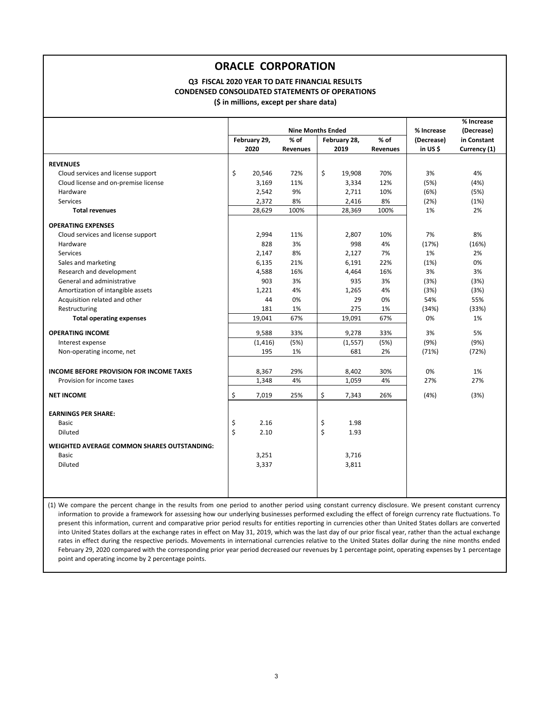#### **Q3 FISCAL 2020 YEAR TO DATE FINANCIAL RESULTS CONDENSED CONSOLIDATED STATEMENTS OF OPERATIONS (\$ in millions, except per share data)**

|                                                    |              |          |                          | % Increase      |            |              |
|----------------------------------------------------|--------------|----------|--------------------------|-----------------|------------|--------------|
|                                                    |              |          | <b>Nine Months Ended</b> |                 | % Increase | (Decrease)   |
|                                                    | February 29, | % of     | February 28,             | % of            | (Decrease) | in Constant  |
|                                                    | 2020         | Revenues | 2019                     | <b>Revenues</b> | in US\$    | Currency (1) |
|                                                    |              |          |                          |                 |            |              |
| <b>REVENUES</b>                                    | Ś            |          | \$                       |                 |            |              |
| Cloud services and license support                 | 20,546       | 72%      | 19,908                   | 70%             | 3%         | 4%           |
| Cloud license and on-premise license               | 3,169        | 11%      | 3,334                    | 12%             | (5%)       | (4% )        |
| Hardware                                           | 2,542        | 9%       | 2,711                    | 10%             | (6%)       | (5%)         |
| Services                                           | 2,372        | 8%       | 2,416                    | 8%              | (2%)       | (1%)         |
| <b>Total revenues</b>                              | 28,629       | 100%     | 28,369                   | 100%            | 1%         | 2%           |
| <b>OPERATING EXPENSES</b>                          |              |          |                          |                 |            |              |
| Cloud services and license support                 | 2,994        | 11%      | 2,807                    | 10%             | 7%         | 8%           |
| Hardware                                           | 828          | 3%       | 998                      | 4%              | (17%)      | (16%)        |
| Services                                           | 2,147        | 8%       | 2,127                    | 7%              | 1%         | 2%           |
| Sales and marketing                                | 6,135        | 21%      | 6,191                    | 22%             | (1%)       | 0%           |
| Research and development                           | 4,588        | 16%      | 4,464                    | 16%             | 3%         | 3%           |
| General and administrative                         | 903          | 3%       | 935                      | 3%              | (3%)       | (3%)         |
| Amortization of intangible assets                  | 1,221        | 4%       | 1,265                    | 4%              | (3%)       | (3%)         |
| Acquisition related and other                      | 44           | 0%       | 29                       | 0%              | 54%        | 55%          |
| Restructuring                                      | 181          | 1%       | 275                      | 1%              | (34%)      | (33%)        |
| <b>Total operating expenses</b>                    | 19,041       | 67%      | 19,091                   | 67%             | 0%         | 1%           |
| <b>OPERATING INCOME</b>                            | 9,588        | 33%      | 9,278                    | 33%             | 3%         | 5%           |
| Interest expense                                   | (1, 416)     | (5%)     | (1, 557)                 | (5%)            | (9%)       | (9%)         |
| Non-operating income, net                          | 195          | 1%       | 681                      | 2%              | (71%)      | (72%)        |
|                                                    |              |          |                          |                 |            |              |
| <b>INCOME BEFORE PROVISION FOR INCOME TAXES</b>    | 8,367        | 29%      | 8,402                    | 30%             | 0%         | 1%           |
| Provision for income taxes                         | 1,348        | 4%       | 1,059                    | 4%              | 27%        | 27%          |
| <b>NET INCOME</b>                                  | \$<br>7,019  | 25%      | \$<br>7,343              | 26%             | (4% )      | (3%)         |
|                                                    |              |          |                          |                 |            |              |
| <b>EARNINGS PER SHARE:</b>                         |              |          |                          |                 |            |              |
| <b>Basic</b>                                       | \$<br>2.16   |          | \$<br>1.98               |                 |            |              |
| Diluted                                            | \$<br>2.10   |          | \$<br>1.93               |                 |            |              |
| <b>WEIGHTED AVERAGE COMMON SHARES OUTSTANDING:</b> |              |          |                          |                 |            |              |
| <b>Basic</b>                                       | 3,251        |          | 3,716                    |                 |            |              |
| <b>Diluted</b>                                     | 3,337        |          | 3,811                    |                 |            |              |
|                                                    |              |          |                          |                 |            |              |
|                                                    |              |          |                          |                 |            |              |
|                                                    |              |          |                          |                 |            |              |

(1) We compare the percent change in the results from one period to another period using constant currency disclosure. We present constant currency information to provide a framework for assessing how our underlying businesses performed excluding the effect of foreign currency rate fluctuations. To present this information, current and comparative prior period results for entities reporting in currencies other than United States dollars are converted into United States dollars at the exchange rates in effect on May 31, 2019, which was the last day of our prior fiscal year, rather than the actual exchange rates in effect during the respective periods. Movements in international currencies relative to the United States dollar during the nine months ended February 29, 2020 compared with the corresponding prior year period decreased our revenues by 1 percentage point, operating expenses by 1 percentage point and operating income by 2 percentage points.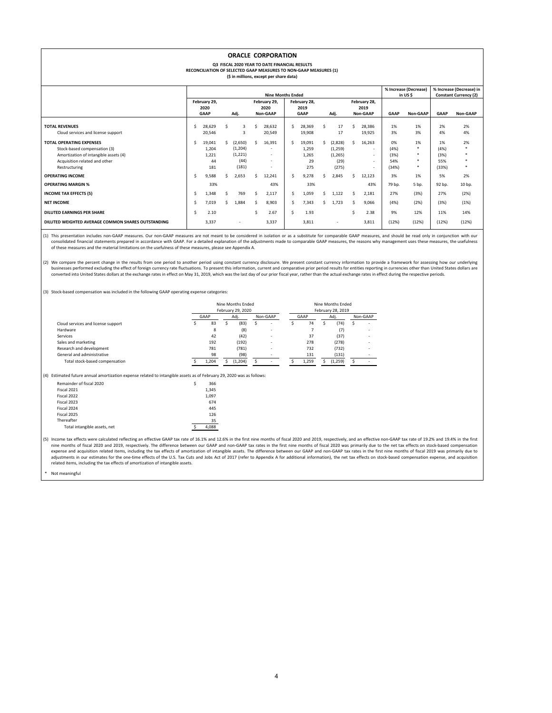|                                                                                                                                                            |                                                             |                                       |      |                                                 |    | <b>ORACLE CORPORATION</b><br><b>Q3 FISCAL 2020 YEAR TO DATE FINANCIAL RESULTS</b><br>RECONCILIATION OF SELECTED GAAP MEASURES TO NON-GAAP MEASURES (1)<br>(\$ in millions, except per share data) |    |                                       |    |                                                 |    |                                                |                                     |                        |                                     |                                                          |
|------------------------------------------------------------------------------------------------------------------------------------------------------------|-------------------------------------------------------------|---------------------------------------|------|-------------------------------------------------|----|---------------------------------------------------------------------------------------------------------------------------------------------------------------------------------------------------|----|---------------------------------------|----|-------------------------------------------------|----|------------------------------------------------|-------------------------------------|------------------------|-------------------------------------|----------------------------------------------------------|
|                                                                                                                                                            | % Increase (Decrease)<br>in USS<br><b>Nine Months Ended</b> |                                       |      |                                                 |    |                                                                                                                                                                                                   |    |                                       |    |                                                 |    |                                                |                                     |                        |                                     | % Increase (Decrease) in<br><b>Constant Currency (2)</b> |
|                                                                                                                                                            |                                                             | February 29,<br>2020<br><b>GAAP</b>   | Adj. |                                                 |    | February 29,<br>2020<br>Non-GAAP                                                                                                                                                                  |    | February 28,<br>2019<br><b>GAAP</b>   |    | Adj.                                            |    | February 28,<br>2019<br>Non-GAAP               | <b>GAAP</b>                         | Non-GAAP               | <b>GAAP</b>                         | Non-GAAP                                                 |
| <b>TOTAL REVENUES</b><br>Cloud services and license support                                                                                                | Ŝ                                                           | 28,629<br>20,546                      | Ŝ.   | 3<br>3                                          | Ŝ  | 28,632<br>20,549                                                                                                                                                                                  | Ŝ. | 28,369<br>19,908                      | Ŝ. | 17<br>17                                        | Ŝ. | 28,386<br>19.925                               | 1%<br>3%                            | 1%<br>3%               | 2%<br>4%                            | 2%<br>4%                                                 |
| <b>TOTAL OPERATING EXPENSES</b><br>Stock-based compensation (3)<br>Amortization of intangible assets (4)<br>Acquisition related and other<br>Restructuring | Ŝ.                                                          | 19,041<br>1.204<br>1,221<br>44<br>181 | Ŝ.   | (2,650)<br>(1, 204)<br>(1,221)<br>(44)<br>(181) | Ŝ. | 16,391<br>٠<br>$\sim$<br>$\sim$<br>$\sim$                                                                                                                                                         | Ŝ  | 19,091<br>1.259<br>1.265<br>29<br>275 |    | (2,828)<br>(1,259)<br>(1, 265)<br>(29)<br>(275) | Ś. | 16,263<br>$\sim$<br>$\sim$<br>$\sim$<br>$\sim$ | 0%<br>(4% )<br>(3%)<br>54%<br>(34%) | 1%<br>٠<br>۰<br>٠<br>٠ | 1%<br>(4% )<br>(3%)<br>55%<br>(33%) | 2%                                                       |
| <b>OPERATING INCOME</b>                                                                                                                                    | Ŝ.                                                          | 9,588                                 | Ŝ.   | 2.653                                           | Ś. | 12,241                                                                                                                                                                                            | Ŝ. | 9,278                                 | Ŝ. | 2,845                                           | Ŝ. | 12,123                                         | 3%                                  | 1%                     | 5%                                  | 2%                                                       |
| <b>OPERATING MARGIN %</b>                                                                                                                                  |                                                             | 33%                                   |      |                                                 |    | 43%                                                                                                                                                                                               |    | 33%                                   |    |                                                 |    | 43%                                            | 79 bp.                              | 5 bp.                  | 92 bp.                              | 10 bp.                                                   |
| <b>INCOME TAX EFFECTS (5)</b>                                                                                                                              | <sup>\$</sup>                                               | 1,348                                 | Ŝ.   | 769                                             | Ś. | 2,117                                                                                                                                                                                             | Ŝ  | 1.059                                 | Ŝ. | 1,122                                           | Ŝ. | 2,181                                          | 27%                                 | (3%)                   | 27%                                 | (2%)                                                     |
| <b>NET INCOME</b>                                                                                                                                          | Ŝ.                                                          | 7.019                                 | Ŝ.   | 1.884                                           | Š. | 8,903                                                                                                                                                                                             | Ŝ. | 7.343                                 | Ŝ. | 1.723                                           | Ś. | 9.066                                          | (4% )                               | (2%)                   | (3%)                                | (1%)                                                     |
| <b>DILUTED EARNINGS PER SHARE</b>                                                                                                                          | <sup>\$</sup>                                               | 2.10                                  |      |                                                 | Ś  | 2.67                                                                                                                                                                                              | Ŝ  | 1.93                                  |    |                                                 | ¢  | 2.38                                           | 9%                                  | 12%                    | 11%                                 | 14%                                                      |
| DILUTED WEIGHTED AVERAGE COMMON SHARES OUTSTANDING                                                                                                         |                                                             | 3,337                                 |      | $\overline{\phantom{a}}$                        |    | 3,337                                                                                                                                                                                             |    | 3.811                                 |    | $\overline{\phantom{a}}$                        |    | 3.811                                          | (12%)                               | (12%)                  | (12%)                               | (12%)                                                    |

(1) This presentation includes non-GAAP measures. Our non-GAAP measures are not meant to be considered in isolation or as a substitute for comparable GAAP measures, and should be read only in conjunction with our<br>consolida

(2) We compare the percent change in the results from one period to another period using constant currency disclosure. We present constant currency information to provide a framework for assessing how our underlying businesses performed excluding the effect of foreign currency rate fluctuations. To present this information, current and comparative prior period results for entities reporting in currencies other than United States dolla

(3) Stock‐based compensation was included in the following GAAP operating expense categories:

|       |      | Nine Months Ended |      |                                        |          |       |      |         |      |                   |
|-------|------|-------------------|------|----------------------------------------|----------|-------|------|---------|------|-------------------|
|       |      |                   |      |                                        |          |       |      |         |      |                   |
|       |      |                   |      |                                        |          |       |      |         |      | Non-GAAP          |
| 83    |      | (83)              | Ŝ    | -                                      |          | 74    |      | (74)    |      |                   |
| 8     |      | (8)               |      | ٠                                      |          |       |      | (7)     |      |                   |
| 42    |      | (42)              |      | -                                      |          | 37    |      | (37)    |      |                   |
| 192   |      | (192)             |      | ٠                                      |          | 278   |      | (278)   |      |                   |
| 781   |      | (781)             |      | ۰                                      |          | 732   |      | (732)   |      |                   |
| 98    |      | (98)              |      | ۰                                      |          | 131   |      | (131)   |      |                   |
| 1,204 |      | (1, 204)          |      | $\overline{\phantom{a}}$               |          | 1,259 |      | (1,259) |      |                   |
|       | GAAP |                   | Adi. | Nine Months Ended<br>February 29, 2020 | Non-GAAP |       | GAAP |         | Adj. | February 28, 2019 |

(4) Estimated future annual amortization expense related to intangible assets as of February 29, 2020 was as follows:

| Remainder of fiscal 2020     | \$<br>366 |
|------------------------------|-----------|
| Fiscal 2021                  | 1,345     |
| Fiscal 2022                  | 1,097     |
| Fiscal 2023                  | 674       |
| Fiscal 2024                  | 445       |
| Fiscal 2025                  | 126       |
| Thereafter                   | 35        |
| Total intangible assets, net | 4.088     |

(5) Income tax effects were calculated reflecting an effective GAAP tax rate of 16.1% and 12.6% in the first nine months of fiscal 2020 and 2019, respectively, and an effective non-GAAP tax rate of 19.2% and 19.4% in the f nine months of fiscal 2020 and 2019, respectively. The difference between our GAAP and non‐GAAP tax rates in the first nine months of fiscal 2020 was primarily due to the net tax effects on stock‐based compensation expense and acquisition related items, including the tax effects of amortization of intangible assets. The difference between our GAAP and non-GAAP tax rates in the first nine months of fiscal 2019 was primarily due to<br>adj related items, including the tax effects of amortization of intangible assets.

Not meaningful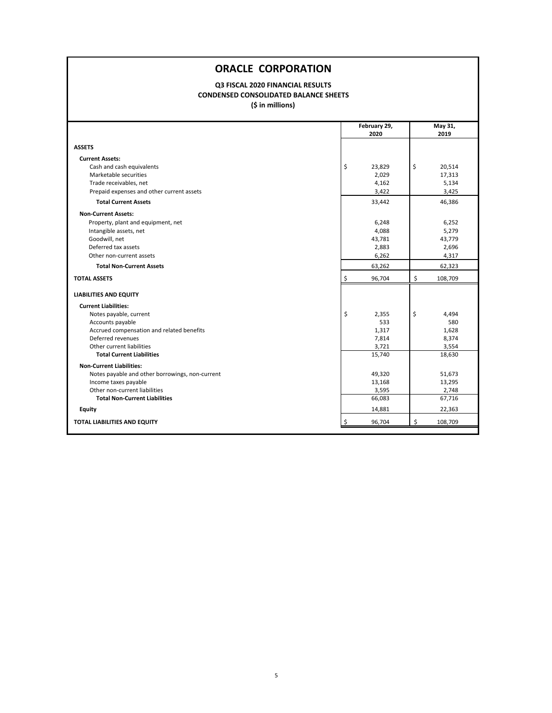## **Q3 FISCAL 2020 FINANCIAL RESULTS CONDENSED CONSOLIDATED BALANCE SHEETS**

**(\$ in millions)**

|                                                 | February 29,<br>2020 | May 31,<br>2019 |
|-------------------------------------------------|----------------------|-----------------|
|                                                 |                      |                 |
| <b>ASSETS</b>                                   |                      |                 |
| <b>Current Assets:</b>                          |                      |                 |
| Cash and cash equivalents                       | \$<br>23,829         | \$<br>20,514    |
| Marketable securities                           | 2,029                | 17,313          |
| Trade receivables, net                          | 4,162                | 5,134           |
| Prepaid expenses and other current assets       | 3,422                | 3,425           |
| <b>Total Current Assets</b>                     | 33,442               | 46,386          |
| <b>Non-Current Assets:</b>                      |                      |                 |
| Property, plant and equipment, net              | 6,248                | 6,252           |
| Intangible assets, net                          | 4,088                | 5,279           |
| Goodwill, net                                   | 43,781               | 43,779          |
| Deferred tax assets                             | 2,883                | 2,696           |
| Other non-current assets                        | 6,262                | 4,317           |
| <b>Total Non-Current Assets</b>                 | 63,262               | 62,323          |
| <b>TOTAL ASSETS</b>                             | \$<br>96,704         | \$<br>108,709   |
| <b>LIABILITIES AND EQUITY</b>                   |                      |                 |
| <b>Current Liabilities:</b>                     |                      |                 |
| Notes payable, current                          | \$<br>2,355          | \$<br>4,494     |
| Accounts payable                                | 533                  | 580             |
| Accrued compensation and related benefits       | 1,317                | 1,628           |
| Deferred revenues                               | 7,814                | 8,374           |
| Other current liabilities                       | 3,721                | 3,554           |
| <b>Total Current Liabilities</b>                | 15,740               | 18,630          |
| <b>Non-Current Liabilities:</b>                 |                      |                 |
| Notes payable and other borrowings, non-current | 49,320               | 51,673          |
| Income taxes payable                            | 13,168               | 13,295          |
| Other non-current liabilities                   | 3,595                | 2,748           |
| <b>Total Non-Current Liabilities</b>            | 66,083               | 67,716          |
| <b>Equity</b>                                   | 14,881               | 22,363          |
| TOTAL LIABILITIES AND EQUITY                    | \$<br>96,704         | \$<br>108,709   |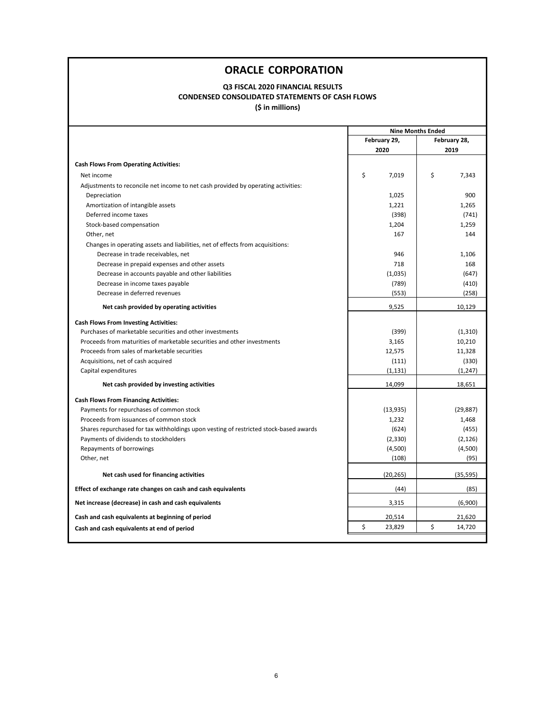## **Q3 FISCAL 2020 FINANCIAL RESULTS CONDENSED CONSOLIDATED STATEMENTS OF CASH FLOWS**

**(\$ in millions)**

|                                                                                       | <b>Nine Months Ended</b> |              |  |  |  |  |  |
|---------------------------------------------------------------------------------------|--------------------------|--------------|--|--|--|--|--|
|                                                                                       | February 29,             | February 28, |  |  |  |  |  |
|                                                                                       | 2020                     | 2019         |  |  |  |  |  |
| <b>Cash Flows From Operating Activities:</b>                                          |                          |              |  |  |  |  |  |
| Net income                                                                            | \$<br>7,019              | \$<br>7,343  |  |  |  |  |  |
| Adjustments to reconcile net income to net cash provided by operating activities:     |                          |              |  |  |  |  |  |
| Depreciation                                                                          | 1,025                    | 900          |  |  |  |  |  |
| Amortization of intangible assets                                                     | 1,221                    | 1,265        |  |  |  |  |  |
| Deferred income taxes                                                                 | (398)                    | (741)        |  |  |  |  |  |
| Stock-based compensation                                                              | 1,204                    | 1,259        |  |  |  |  |  |
| Other, net                                                                            | 167                      | 144          |  |  |  |  |  |
| Changes in operating assets and liabilities, net of effects from acquisitions:        |                          |              |  |  |  |  |  |
| Decrease in trade receivables, net                                                    | 946                      | 1,106        |  |  |  |  |  |
| Decrease in prepaid expenses and other assets                                         | 718                      | 168          |  |  |  |  |  |
| Decrease in accounts payable and other liabilities                                    | (1,035)                  | (647)        |  |  |  |  |  |
| Decrease in income taxes payable                                                      | (789)                    | (410)        |  |  |  |  |  |
| Decrease in deferred revenues                                                         | (553)                    | (258)        |  |  |  |  |  |
| Net cash provided by operating activities                                             | 9,525                    | 10,129       |  |  |  |  |  |
| <b>Cash Flows From Investing Activities:</b>                                          |                          |              |  |  |  |  |  |
| Purchases of marketable securities and other investments                              | (399)                    | (1, 310)     |  |  |  |  |  |
| Proceeds from maturities of marketable securities and other investments               | 3,165                    | 10,210       |  |  |  |  |  |
| Proceeds from sales of marketable securities                                          | 12,575                   | 11,328       |  |  |  |  |  |
| Acquisitions, net of cash acquired                                                    | (111)                    | (330)        |  |  |  |  |  |
| Capital expenditures                                                                  | (1, 131)                 | (1, 247)     |  |  |  |  |  |
| Net cash provided by investing activities                                             | 14,099                   | 18,651       |  |  |  |  |  |
| <b>Cash Flows From Financing Activities:</b>                                          |                          |              |  |  |  |  |  |
| Payments for repurchases of common stock                                              | (13, 935)                | (29, 887)    |  |  |  |  |  |
| Proceeds from issuances of common stock                                               | 1,232                    | 1,468        |  |  |  |  |  |
| Shares repurchased for tax withholdings upon vesting of restricted stock-based awards | (624)                    | (455)        |  |  |  |  |  |
| Payments of dividends to stockholders                                                 | (2, 330)                 | (2, 126)     |  |  |  |  |  |
| Repayments of borrowings                                                              | (4,500)                  | (4,500)      |  |  |  |  |  |
| Other, net                                                                            | (108)                    | (95)         |  |  |  |  |  |
| Net cash used for financing activities                                                | (20, 265)                | (35, 595)    |  |  |  |  |  |
| Effect of exchange rate changes on cash and cash equivalents                          | (44)                     | (85)         |  |  |  |  |  |
| Net increase (decrease) in cash and cash equivalents                                  | 3,315                    | (6,900)      |  |  |  |  |  |
| Cash and cash equivalents at beginning of period                                      | 20,514                   | 21,620       |  |  |  |  |  |
| Cash and cash equivalents at end of period                                            | \$<br>23,829             | \$<br>14,720 |  |  |  |  |  |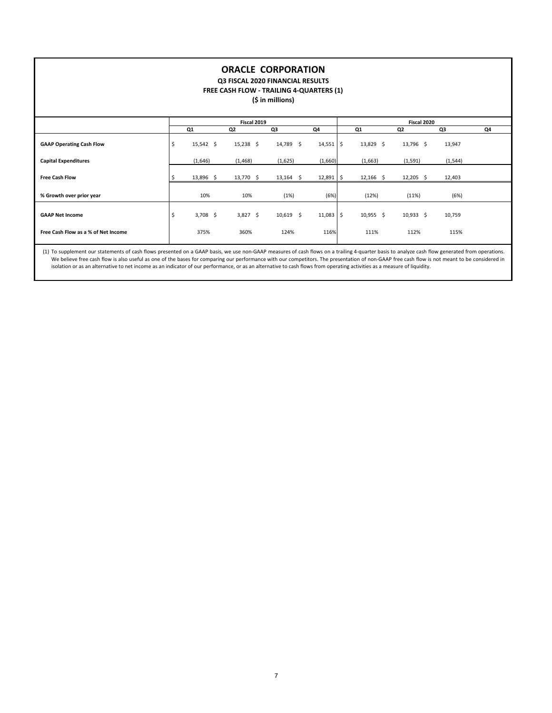### **Q3 FISCAL 2020 FINANCIAL RESULTS**

**FREE CASH FLOW ‐ TRAILING 4‐QUARTERS (1)**

**(\$ in millions)**

|                                     |                  | Fiscal 2019 |                |             |    |             |             |          |    |  |
|-------------------------------------|------------------|-------------|----------------|-------------|----|-------------|-------------|----------|----|--|
|                                     | Q1               | Q2          | Q3             | Q4          |    | Q1          | Q2          | Q3       | Q4 |  |
| <b>GAAP Operating Cash Flow</b>     | \$<br>15,542 \$  | 15,238 \$   | 14,789 \$      | $14,551$ \$ |    | 13,829 \$   | 13,796 \$   | 13,947   |    |  |
| <b>Capital Expenditures</b>         | (1,646)          | (1,468)     | (1,625)        | (1,660)     |    | (1,663)     | (1, 591)    | (1, 544) |    |  |
| <b>Free Cash Flow</b>               | 13,896 \$        | 13,770 \$   | $13,164$ \$    | 12,891      |    | $12,166$ \$ | $12,205$ \$ | 12,403   |    |  |
| % Growth over prior year            | 10%              | 10%         | (1%)           | (6%)        |    | (12%)       | (11%)       | (6%)     |    |  |
| <b>GAAP Net Income</b>              | \$<br>$3,708$ \$ | $3,827$ \$  | 10,619<br>- \$ | 11,083      | Ś. | $10,955$ \$ | $10,933$ \$ | 10,759   |    |  |
| Free Cash Flow as a % of Net Income | 375%             | 360%        | 124%           | 116%        |    | 111%        | 112%        | 115%     |    |  |

(1) To supplement our statements of cash flows presented on a GAAP basis, we use non‐GAAP measures of cash flows on a trailing 4‐quarter basis to analyze cash flow generated from operations. We believe free cash flow is also useful as one of the bases for comparing our performance with our competitors. The presentation of non-GAAP free cash flow is not meant to be considered in isolation or as an alternative to net income as an indicator of our performance, or as an alternative to cash flows from operating activities as a measure of liquidity.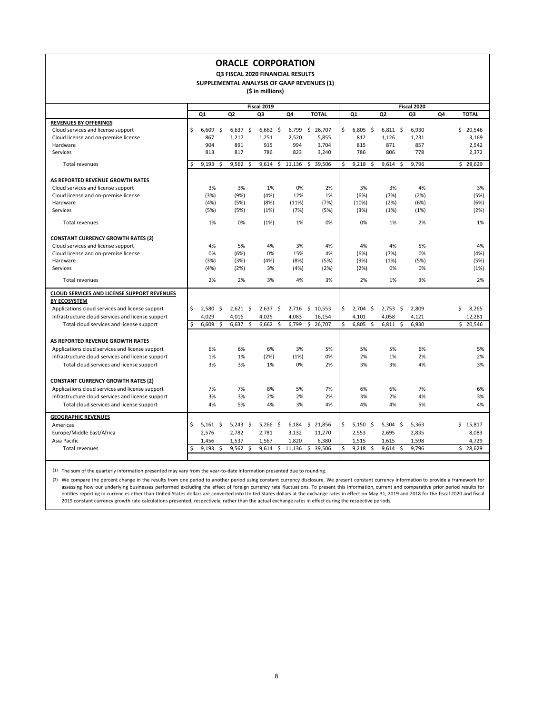### **Q3 FISCAL 2020 FINANCIAL RESULTS**

**SUPPLEMENTAL ANALYSIS OF GAAP REVENUES (1)**

**(\$ in millions)**

|                                                    |    |            |     |            |                     |             |      |          |    |              |    | Fiscal 2020 |                |            |  |       |    |              |  |  |  |  |
|----------------------------------------------------|----|------------|-----|------------|---------------------|-------------|------|----------|----|--------------|----|-------------|----------------|------------|--|-------|----|--------------|--|--|--|--|
|                                                    |    |            |     |            |                     | Fiscal 2019 |      |          |    |              |    |             |                |            |  |       |    |              |  |  |  |  |
|                                                    |    | Q1         |     | Q2         |                     | Q3          |      | Q4       |    | <b>TOTAL</b> |    | Q1          | Q <sub>2</sub> |            |  | Q3    | Q4 | <b>TOTAL</b> |  |  |  |  |
| <b>REVENUES BY OFFERINGS</b>                       |    |            |     |            |                     |             |      |          |    |              |    |             |                |            |  |       |    |              |  |  |  |  |
| Cloud services and license support                 | Ś. | 6.609      | Ŝ.  | 6,637      | - \$                | $6,662$ \$  |      | 6,799    | \$ | 26,707       | \$ | $6,805$ \$  |                | $6,811$ \$ |  | 6,930 |    | Ś<br>20,546  |  |  |  |  |
| Cloud license and on-premise license               |    | 867        |     | 1,217      |                     | 1,251       |      | 2,520    |    | 5,855        |    | 812         | 1,126          |            |  | 1,231 |    | 3,169        |  |  |  |  |
| Hardware                                           |    | 904        |     | 891        |                     | 915         |      | 994      |    | 3,704        |    | 815         |                | 871        |  | 857   |    | 2,542        |  |  |  |  |
| Services                                           |    | 813        |     | 817        |                     | 786         |      | 823      |    | 3,240        |    | 786         |                | 806        |  | 778   |    | 2,372        |  |  |  |  |
| <b>Total revenues</b>                              | Ś  | 9,193      | Ŝ.  | 9,562      | Ŝ.                  | 9,614       |      | \$11,136 |    | \$39,506     | \$ | 9,218<br>Ŝ. | 9,614          | Ŝ.         |  | 9,796 |    | \$28,629     |  |  |  |  |
| AS REPORTED REVENUE GROWTH RATES                   |    |            |     |            |                     |             |      |          |    |              |    |             |                |            |  |       |    |              |  |  |  |  |
| Cloud services and license support                 |    | 3%         |     | 3%         |                     | 1%          |      | 0%       |    | 2%           |    | 3%          |                | 3%         |  | 4%    |    | 3%           |  |  |  |  |
| Cloud license and on-premise license               |    | (3%)       |     | (9%)       |                     | (4%)        |      | 12%      |    | 1%           |    | (6%)        |                | (7%)       |  | (2%)  |    | (5%)         |  |  |  |  |
| Hardware                                           |    | (4%)       |     | (5%)       |                     | (8%)        |      | (11%)    |    | (7%)         |    | (10%)       |                | (2%)       |  | (6%)  |    | (6%)         |  |  |  |  |
| Services                                           |    | (5%)       |     | (5%)       |                     | (1%)        |      | (7%)     |    | (5%)         |    | (3%)        |                | (1%)       |  | (1%)  |    | (2%)         |  |  |  |  |
| <b>Total revenues</b>                              |    | 1%         |     | 0%         |                     | (1%)        |      | 1%       |    | 0%           |    | 0%          |                | 1%         |  | 2%    |    | 1%           |  |  |  |  |
| <b>CONSTANT CURRENCY GROWTH RATES (2)</b>          |    |            |     |            |                     |             |      |          |    |              |    |             |                |            |  |       |    |              |  |  |  |  |
| Cloud services and license support                 |    | 4%         |     | 5%         |                     | 4%          |      | 3%       |    | 4%           |    | 4%          |                | 4%         |  | 5%    |    | 4%           |  |  |  |  |
| Cloud license and on-premise license               |    | 0%         |     | (6%)       |                     | 0%          |      | 15%      |    | 4%           |    | (6%)        |                | (7%)       |  | 0%    |    | (4%)         |  |  |  |  |
| Hardware                                           |    | (3%)       |     | (3%)       |                     | (4%)        |      | (8%)     |    | (5%)         |    | (9%)        |                | (1%)       |  | (5%)  |    | (5%)         |  |  |  |  |
| Services                                           |    | (4%)       |     | (2%)       |                     | 3%          |      | (4%)     |    | (2%)         |    | (2%)        |                | 0%         |  | 0%    |    | (1%)         |  |  |  |  |
| Total revenues                                     |    | 2%         |     | 2%         |                     | 3%          |      | 4%       |    | 3%           |    | 2%          |                | 1%         |  | 3%    |    | 2%           |  |  |  |  |
|                                                    |    |            |     |            |                     |             |      |          |    |              |    |             |                |            |  |       |    |              |  |  |  |  |
| <b>CLOUD SERVICES AND LICENSE SUPPORT REVENUES</b> |    |            |     |            |                     |             |      |          |    |              |    |             |                |            |  |       |    |              |  |  |  |  |
| <b>BY ECOSYSTEM</b>                                |    |            |     |            |                     |             |      |          |    |              |    |             |                |            |  |       |    |              |  |  |  |  |
| Applications cloud services and license support    | \$ | 2,580      | -\$ | $2,621$ \$ |                     | $2,637$ \$  |      | 2,716    |    | \$10,553     | \$ | $2,704$ \$  |                | $2,753$ \$ |  | 2,809 |    | \$<br>8,265  |  |  |  |  |
| Infrastructure cloud services and license support  |    | 4,029      |     | 4,016      |                     | 4,025       |      | 4,083    |    | 16,154       |    | 4,101       | 4,058          |            |  | 4,121 |    | 12,281       |  |  |  |  |
| Total cloud services and license support           | Ś. | 6,609      | Ś.  | 6.637      | Ŝ.                  | 6,662       | Ŝ.   | 6,799    |    | \$26,707     | Ś  | 6,805<br>Ŝ. | 6,811          | Ŝ.         |  | 6,930 |    | \$20,546     |  |  |  |  |
| AS REPORTED REVENUE GROWTH RATES                   |    |            |     |            |                     |             |      |          |    |              |    |             |                |            |  |       |    |              |  |  |  |  |
| Applications cloud services and license support    |    | 6%         |     | 6%         |                     | 6%          |      | 3%       |    | 5%           |    | 5%          |                | 5%         |  | 6%    |    | 5%           |  |  |  |  |
| Infrastructure cloud services and license support  |    | 1%         |     | 1%         |                     | (2%)        |      | (1%)     |    | 0%           |    | 2%          |                | 1%         |  | 2%    |    | 2%           |  |  |  |  |
| Total cloud services and license support           |    | 3%         |     | 3%         |                     | 1%          |      | 0%       |    | 2%           |    | 3%          |                | 3%         |  | 4%    |    | 3%           |  |  |  |  |
|                                                    |    |            |     |            |                     |             |      |          |    |              |    |             |                |            |  |       |    |              |  |  |  |  |
| <b>CONSTANT CURRENCY GROWTH RATES (2)</b>          |    |            |     |            |                     |             |      |          |    |              |    |             |                |            |  |       |    |              |  |  |  |  |
| Applications cloud services and license support    |    | 7%         |     | 7%         |                     | 8%          |      | 5%       |    | 7%           |    | 6%          |                | 6%         |  | 7%    |    | 6%           |  |  |  |  |
| Infrastructure cloud services and license support  |    | 3%         |     | 3%         |                     | 2%          |      | 2%       |    | 2%           |    | 3%          |                | 2%         |  | 4%    |    | 3%           |  |  |  |  |
| Total cloud services and license support           |    | 4%         |     | 5%         |                     | 4%          |      | 3%       |    | 4%           |    | 4%          |                | 4%         |  | 5%    |    | 4%           |  |  |  |  |
| <b>GEOGRAPHIC REVENUES</b>                         |    |            |     |            |                     |             |      |          |    |              |    |             |                |            |  |       |    |              |  |  |  |  |
| Americas                                           | \$ | $5,161$ \$ |     | $5,243$ \$ |                     | 5,266       | - \$ | 6,184    |    | \$21,856     | \$ | $5,150$ \$  |                | $5,304$ \$ |  | 5,363 |    | \$15,817     |  |  |  |  |
| Europe/Middle East/Africa                          |    | 2.576      |     | 2,782      |                     | 2,781       |      | 3,132    |    | 11,270       |    | 2,553       | 2,695          |            |  | 2,835 |    | 8,083        |  |  |  |  |
| Asia Pacific                                       |    | 1.456      |     | 1,537      |                     | 1,567       |      | 1,820    |    | 6,380        |    | 1.515       | 1.615          |            |  | 1.598 |    | 4.729        |  |  |  |  |
| Total revenues                                     | Ŝ. | 9,193      | \$  | 9,562      | $\ddot{\mathsf{s}}$ | 9,614       |      | \$11,136 |    | \$39,506     | \$ | $9,218$ \$  |                | $9,614$ \$ |  | 9,796 |    | \$28,629     |  |  |  |  |
|                                                    |    |            |     |            |                     |             |      |          |    |              |    |             |                |            |  |       |    |              |  |  |  |  |

(1) The sum of the quarterly information presented may vary from the year-to-date information presented due to rounding.

(2) We compare the percent change in the results from one period to another period using constant currency disclosure. We present constant currency information to provide a framework for assessing how our underlying businesses performed excluding the effect of foreign currency rate fluctuations. To present this information, current and comparative prior period results for entities reporting in currencies other than United States dollars are converted into United States dollars at the exchange rates in effect on May 31, 2019 and 2018 for the fiscal 2020 and fiscal 2019 constant currency growth rate calculations presented, respectively, rather than the actual exchange rates in effect during the respective periods.